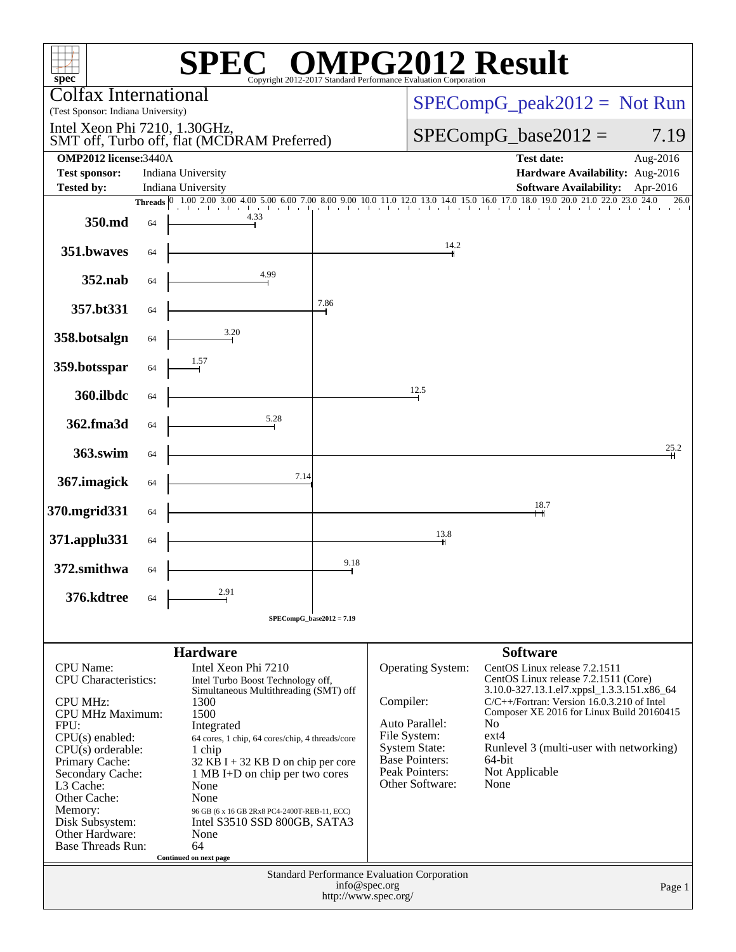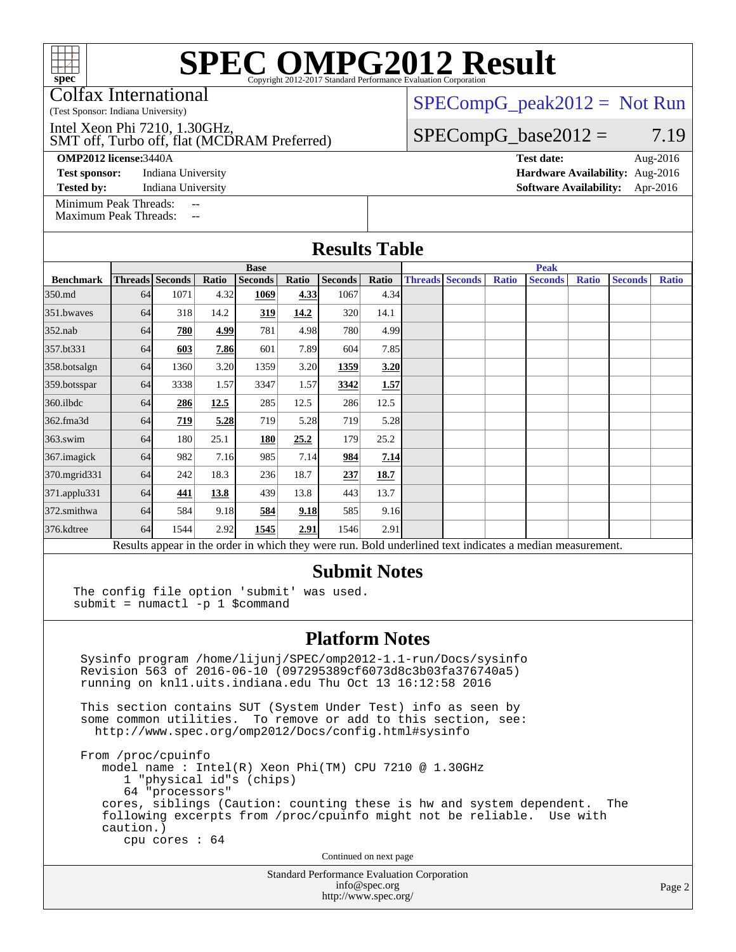Colfax International

(Test Sponsor: Indiana University)

SMT off, Turbo off, flat (MCDRAM Preferred) Intel Xeon Phi 7210, 1.30GHz,

**[OMP2012 license:](http://www.spec.org/auto/omp2012/Docs/result-fields.html#OMP2012license)**3440A **[Test date:](http://www.spec.org/auto/omp2012/Docs/result-fields.html#Testdate)** Aug-2016

**[Test sponsor:](http://www.spec.org/auto/omp2012/Docs/result-fields.html#Testsponsor)** Indiana University **[Hardware Availability:](http://www.spec.org/auto/omp2012/Docs/result-fields.html#HardwareAvailability)** Aug-2016

[Minimum Peak Threads:](http://www.spec.org/auto/omp2012/Docs/result-fields.html#MinimumPeakThreads)

[Maximum Peak Threads:](http://www.spec.org/auto/omp2012/Docs/result-fields.html#MaximumPeakThreads)

 $SPECompG_peak2012 = Not Run$  $SPECompG_peak2012 = Not Run$ 

 $SPECompG_base2012 = 7.19$  $SPECompG_base2012 = 7.19$ 

**[Tested by:](http://www.spec.org/auto/omp2012/Docs/result-fields.html#Testedby)** Indiana University **[Software Availability:](http://www.spec.org/auto/omp2012/Docs/result-fields.html#SoftwareAvailability)** Apr-2016

|                  | <b>Base</b>            |      |       |                |       |                | <b>Peak</b> |                        |  |              |                |              |                |              |
|------------------|------------------------|------|-------|----------------|-------|----------------|-------------|------------------------|--|--------------|----------------|--------------|----------------|--------------|
| <b>Benchmark</b> | <b>Threads</b> Seconds |      | Ratio | <b>Seconds</b> | Ratio | <b>Seconds</b> | Ratio       | <b>Threads Seconds</b> |  | <b>Ratio</b> | <b>Seconds</b> | <b>Ratio</b> | <b>Seconds</b> | <b>Ratio</b> |
| 350.md           | 64                     | 1071 | 4.32  | 1069           | 4.33  | 1067           | 4.34        |                        |  |              |                |              |                |              |
| 351.bwaves       | 64                     | 318  | 14.2  | 319            | 14.2  | 320            | 14.1        |                        |  |              |                |              |                |              |
| $352$ .nab       | 64                     | 780  | 4.99  | 781            | 4.98  | 780            | 4.99        |                        |  |              |                |              |                |              |
| 357.bt331        | 64                     | 603  | 7.86  | 601            | 7.89  | 604            | 7.85        |                        |  |              |                |              |                |              |
| 358.botsalgn     | 64                     | 1360 | 3.20  | 1359           | 3.20  | 1359           | 3.20        |                        |  |              |                |              |                |              |
| 359.botsspar     | 64                     | 3338 | 1.57  | 3347           | 1.57  | 3342           | 1.57        |                        |  |              |                |              |                |              |
| 360.ilbdc        | 64                     | 286  | 12.5  | 285            | 12.5  | 286            | 12.5        |                        |  |              |                |              |                |              |
| 362.fma3d        | 64                     | 719  | 5.28  | 719            | 5.28  | 719            | 5.28        |                        |  |              |                |              |                |              |
| $363$ .swim      | 64                     | 180  | 25.1  | <b>180</b>     | 25.2  | 179            | 25.2        |                        |  |              |                |              |                |              |
| 367. imagick     | 64                     | 982  | 7.16  | 985            | 7.14  | 984            | 7.14        |                        |  |              |                |              |                |              |
| 370.mgrid331     | 64                     | 242  | 18.3  | 236            | 18.7  | 237            | 18.7        |                        |  |              |                |              |                |              |
| 371.applu331     | 64                     | 441  | 13.8  | 439            | 13.8  | 443            | 13.7        |                        |  |              |                |              |                |              |
| 372.smithwa      | 64                     | 584  | 9.18  | 584            | 9.18  | 585            | 9.16        |                        |  |              |                |              |                |              |
| 376.kdtree       | 64                     | 1544 | 2.92  | 1545           | 2.91  | 1546           | 2.91        |                        |  |              |                |              |                |              |

### **[Submit Notes](http://www.spec.org/auto/omp2012/Docs/result-fields.html#SubmitNotes)**

The config file option 'submit' was used. submit = numactl -p 1 \$command

### **[Platform Notes](http://www.spec.org/auto/omp2012/Docs/result-fields.html#PlatformNotes)**

 Sysinfo program /home/lijunj/SPEC/omp2012-1.1-run/Docs/sysinfo Revision 563 of 2016-06-10 (097295389cf6073d8c3b03fa376740a5) running on knl1.uits.indiana.edu Thu Oct 13 16:12:58 2016

 This section contains SUT (System Under Test) info as seen by some common utilities. To remove or add to this section, see: <http://www.spec.org/omp2012/Docs/config.html#sysinfo>

 From /proc/cpuinfo model name : Intel(R) Xeon Phi(TM) CPU 7210 @ 1.30GHz 1 "physical id"s (chips) 64 "processors" cores, siblings (Caution: counting these is hw and system dependent. The following excerpts from /proc/cpuinfo might not be reliable. Use with caution.) cpu cores : 64

Continued on next page

Standard Performance Evaluation Corporation [info@spec.org](mailto:info@spec.org) <http://www.spec.org/>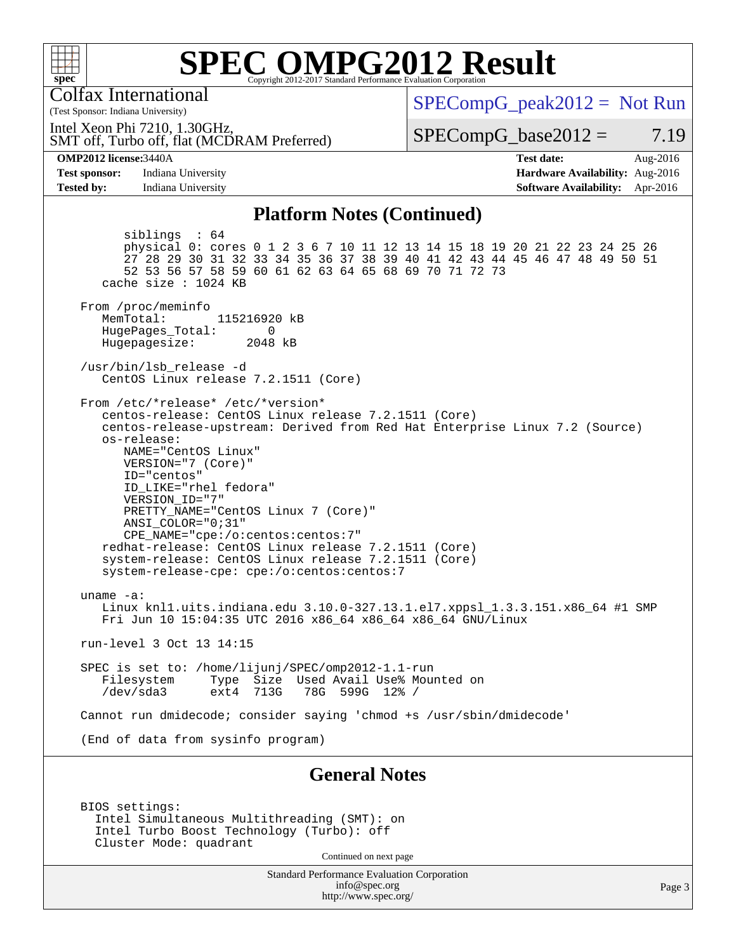

Colfax International

(Test Sponsor: Indiana University)

 $SPECompG_peak2012 = Not Run$  $SPECompG_peak2012 = Not Run$ 

SMT off, Turbo off, flat (MCDRAM Preferred) Intel Xeon Phi 7210, 1.30GHz,

 $SPECompG_base2012 = 7.19$  $SPECompG_base2012 = 7.19$ 

**[OMP2012 license:](http://www.spec.org/auto/omp2012/Docs/result-fields.html#OMP2012license)**3440A **[Test date:](http://www.spec.org/auto/omp2012/Docs/result-fields.html#Testdate)** Aug-2016 **[Test sponsor:](http://www.spec.org/auto/omp2012/Docs/result-fields.html#Testsponsor)** Indiana University **[Hardware Availability:](http://www.spec.org/auto/omp2012/Docs/result-fields.html#HardwareAvailability)** Aug-2016

**[Tested by:](http://www.spec.org/auto/omp2012/Docs/result-fields.html#Testedby)** Indiana University **[Software Availability:](http://www.spec.org/auto/omp2012/Docs/result-fields.html#SoftwareAvailability)** Apr-2016

#### **[Platform Notes \(Continued\)](http://www.spec.org/auto/omp2012/Docs/result-fields.html#PlatformNotes)**

 siblings : 64 physical 0: cores 0 1 2 3 6 7 10 11 12 13 14 15 18 19 20 21 22 23 24 25 26 27 28 29 30 31 32 33 34 35 36 37 38 39 40 41 42 43 44 45 46 47 48 49 50 51 52 53 56 57 58 59 60 61 62 63 64 65 68 69 70 71 72 73 cache size : 1024 KB From /proc/meminfo MemTotal: 115216920 kB HugePages\_Total: 0<br>Hugepagesize: 2048 kB Hugepagesize: /usr/bin/lsb\_release -d CentOS Linux release 7.2.1511 (Core) From /etc/\*release\* /etc/\*version\* centos-release: CentOS Linux release 7.2.1511 (Core) centos-release-upstream: Derived from Red Hat Enterprise Linux 7.2 (Source) os-release: NAME="CentOS Linux" VERSION="7 (Core)" ID="centos" ID\_LIKE="rhel fedora" VERSION\_ID="7" PRETTY\_NAME="CentOS Linux 7 (Core)" ANSI\_COLOR="0;31" CPE\_NAME="cpe:/o:centos:centos:7" redhat-release: CentOS Linux release 7.2.1511 (Core) system-release: CentOS Linux release 7.2.1511 (Core) system-release-cpe: cpe:/o:centos:centos:7 uname -a: Linux knl1.uits.indiana.edu 3.10.0-327.13.1.el7.xppsl\_1.3.3.151.x86\_64 #1 SMP Fri Jun 10 15:04:35 UTC 2016 x86\_64 x86\_64 x86\_64 GNU/Linux run-level 3 Oct 13 14:15 SPEC is set to: /home/lijunj/SPEC/omp2012-1.1-run Filesystem Type Size Used Avail Use% Mounted on<br>/dev/sda3 ext4 713G 78G 599G 12% / 78G 599G 12% / Cannot run dmidecode; consider saying 'chmod +s /usr/sbin/dmidecode' (End of data from sysinfo program) **[General Notes](http://www.spec.org/auto/omp2012/Docs/result-fields.html#GeneralNotes)**

 BIOS settings: Intel Simultaneous Multithreading (SMT): on Intel Turbo Boost Technology (Turbo): off Cluster Mode: quadrant

Continued on next page

Standard Performance Evaluation Corporation [info@spec.org](mailto:info@spec.org) <http://www.spec.org/>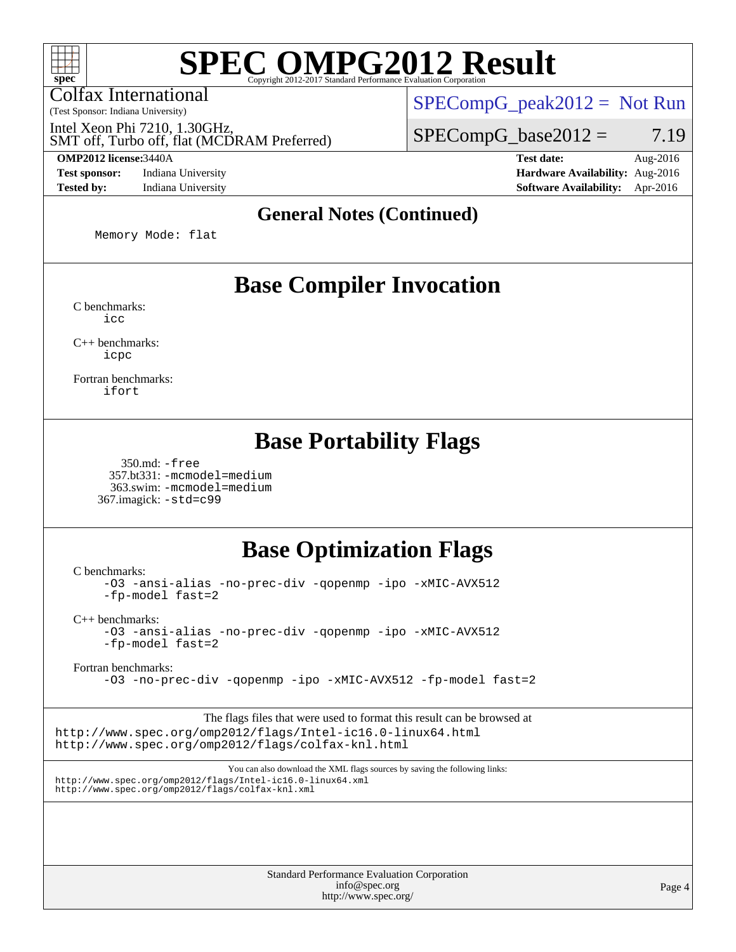Colfax International

(Test Sponsor: Indiana University)

 $SPECompG_peak2012 = Not Run$  $SPECompG_peak2012 = Not Run$ 

 $SPECompG_base2012 = 7.19$  $SPECompG_base2012 = 7.19$ 

SMT off, Turbo off, flat (MCDRAM Preferred) Intel Xeon Phi 7210, 1.30GHz,

**[Test sponsor:](http://www.spec.org/auto/omp2012/Docs/result-fields.html#Testsponsor)** Indiana University **[Hardware Availability:](http://www.spec.org/auto/omp2012/Docs/result-fields.html#HardwareAvailability)** Aug-2016 **[Tested by:](http://www.spec.org/auto/omp2012/Docs/result-fields.html#Testedby)** Indiana University **[Software Availability:](http://www.spec.org/auto/omp2012/Docs/result-fields.html#SoftwareAvailability)** Apr-2016

**[OMP2012 license:](http://www.spec.org/auto/omp2012/Docs/result-fields.html#OMP2012license)**3440A **[Test date:](http://www.spec.org/auto/omp2012/Docs/result-fields.html#Testdate)** Aug-2016

#### **[General Notes \(Continued\)](http://www.spec.org/auto/omp2012/Docs/result-fields.html#GeneralNotes)**

Memory Mode: flat

## **[Base Compiler Invocation](http://www.spec.org/auto/omp2012/Docs/result-fields.html#BaseCompilerInvocation)**

[C benchmarks](http://www.spec.org/auto/omp2012/Docs/result-fields.html#Cbenchmarks): [icc](http://www.spec.org/omp2012/results/res2017q1/omp2012-20161215-00092.flags.html#user_CCbase_intel_icc_a87c68a857bc5ec5362391a49d3a37a6)

[C++ benchmarks:](http://www.spec.org/auto/omp2012/Docs/result-fields.html#CXXbenchmarks) [icpc](http://www.spec.org/omp2012/results/res2017q1/omp2012-20161215-00092.flags.html#user_CXXbase_intel_icpc_2d899f8d163502b12eb4a60069f80c1c)

[Fortran benchmarks](http://www.spec.org/auto/omp2012/Docs/result-fields.html#Fortranbenchmarks): [ifort](http://www.spec.org/omp2012/results/res2017q1/omp2012-20161215-00092.flags.html#user_FCbase_intel_ifort_8a5e5e06b19a251bdeaf8fdab5d62f20)

## **[Base Portability Flags](http://www.spec.org/auto/omp2012/Docs/result-fields.html#BasePortabilityFlags)**

 350.md: [-free](http://www.spec.org/omp2012/results/res2017q1/omp2012-20161215-00092.flags.html#user_baseFPORTABILITY350_md_f-FR_e51be0673775d2012b3310fa5323f530) 357.bt331: [-mcmodel=medium](http://www.spec.org/omp2012/results/res2017q1/omp2012-20161215-00092.flags.html#user_baseFPORTABILITY357_bt331_f-mcmodel_3a41622424bdd074c4f0f2d2f224c7e5) 363.swim: [-mcmodel=medium](http://www.spec.org/omp2012/results/res2017q1/omp2012-20161215-00092.flags.html#user_baseFPORTABILITY363_swim_f-mcmodel_3a41622424bdd074c4f0f2d2f224c7e5) 367.imagick: [-std=c99](http://www.spec.org/omp2012/results/res2017q1/omp2012-20161215-00092.flags.html#user_baseCPORTABILITY367_imagick_f-std_2ec6533b6e06f1c4a6c9b78d9e9cde24)

## **[Base Optimization Flags](http://www.spec.org/auto/omp2012/Docs/result-fields.html#BaseOptimizationFlags)**

[C benchmarks](http://www.spec.org/auto/omp2012/Docs/result-fields.html#Cbenchmarks):

[-O3](http://www.spec.org/omp2012/results/res2017q1/omp2012-20161215-00092.flags.html#user_CCbase_f-O3) [-ansi-alias](http://www.spec.org/omp2012/results/res2017q1/omp2012-20161215-00092.flags.html#user_CCbase_f-ansi-alias) [-no-prec-div](http://www.spec.org/omp2012/results/res2017q1/omp2012-20161215-00092.flags.html#user_CCbase_f-no-prec-div) [-qopenmp](http://www.spec.org/omp2012/results/res2017q1/omp2012-20161215-00092.flags.html#user_CCbase_f-qopenmp) [-ipo](http://www.spec.org/omp2012/results/res2017q1/omp2012-20161215-00092.flags.html#user_CCbase_f-ipo) [-xMIC-AVX512](http://www.spec.org/omp2012/results/res2017q1/omp2012-20161215-00092.flags.html#user_CCbase_f-xMIC-AVX512) [-fp-model fast=2](http://www.spec.org/omp2012/results/res2017q1/omp2012-20161215-00092.flags.html#user_CCbase_f-fp-model_a7fb8ccb7275e23f0079632c153cfcab)

[C++ benchmarks:](http://www.spec.org/auto/omp2012/Docs/result-fields.html#CXXbenchmarks)

[-O3](http://www.spec.org/omp2012/results/res2017q1/omp2012-20161215-00092.flags.html#user_CXXbase_f-O3) [-ansi-alias](http://www.spec.org/omp2012/results/res2017q1/omp2012-20161215-00092.flags.html#user_CXXbase_f-ansi-alias) [-no-prec-div](http://www.spec.org/omp2012/results/res2017q1/omp2012-20161215-00092.flags.html#user_CXXbase_f-no-prec-div) [-qopenmp](http://www.spec.org/omp2012/results/res2017q1/omp2012-20161215-00092.flags.html#user_CXXbase_f-qopenmp) [-ipo](http://www.spec.org/omp2012/results/res2017q1/omp2012-20161215-00092.flags.html#user_CXXbase_f-ipo) [-xMIC-AVX512](http://www.spec.org/omp2012/results/res2017q1/omp2012-20161215-00092.flags.html#user_CXXbase_f-xMIC-AVX512) [-fp-model fast=2](http://www.spec.org/omp2012/results/res2017q1/omp2012-20161215-00092.flags.html#user_CXXbase_f-fp-model_a7fb8ccb7275e23f0079632c153cfcab)

[Fortran benchmarks](http://www.spec.org/auto/omp2012/Docs/result-fields.html#Fortranbenchmarks):

[-O3](http://www.spec.org/omp2012/results/res2017q1/omp2012-20161215-00092.flags.html#user_FCbase_f-O3) [-no-prec-div](http://www.spec.org/omp2012/results/res2017q1/omp2012-20161215-00092.flags.html#user_FCbase_f-no-prec-div) [-qopenmp](http://www.spec.org/omp2012/results/res2017q1/omp2012-20161215-00092.flags.html#user_FCbase_f-qopenmp) [-ipo](http://www.spec.org/omp2012/results/res2017q1/omp2012-20161215-00092.flags.html#user_FCbase_f-ipo) [-xMIC-AVX512](http://www.spec.org/omp2012/results/res2017q1/omp2012-20161215-00092.flags.html#user_FCbase_f-xMIC-AVX512) [-fp-model fast=2](http://www.spec.org/omp2012/results/res2017q1/omp2012-20161215-00092.flags.html#user_FCbase_f-fp-model_a7fb8ccb7275e23f0079632c153cfcab)

The flags files that were used to format this result can be browsed at <http://www.spec.org/omp2012/flags/Intel-ic16.0-linux64.html> <http://www.spec.org/omp2012/flags/colfax-knl.html>

You can also download the XML flags sources by saving the following links: <http://www.spec.org/omp2012/flags/Intel-ic16.0-linux64.xml> <http://www.spec.org/omp2012/flags/colfax-knl.xml>

> Standard Performance Evaluation Corporation [info@spec.org](mailto:info@spec.org) <http://www.spec.org/>

Page 4